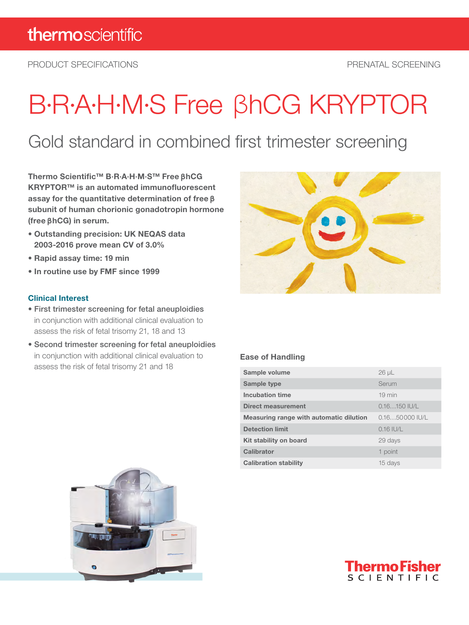PRODUCT SPECIFICATIONS PRENATAL SCREENING

# B·R·A·H·M·S Free βhCG KRYPTOR

### Gold standard in combined first trimester screening

Thermo Scientific™ B·R·A·H·M·S™ Free**β**hCG KRYPTOR™ is an automated immunofluorescent assay for the quantitative determination of free**β** subunit of human chorionic gonadotropin hormone (free**β**hCG) in serum.

- Outstanding precision: UK NEQAS data 2003-2016 prove mean CV of 3.0%
- Rapid assay time: 19 min
- In routine use by FMF since 1999

#### Clinical Interest

- First trimester screening for fetal aneuploidies in conjunction with additional clinical evaluation to assess the risk of fetal trisomy 21, 18 and 13
- Second trimester screening for fetal aneuploidies in conjunction with additional clinical evaluation to assess the risk of fetal trisomy 21 and 18



#### Ease of Handling

| Sample volume                           | $26 \mu L$               |
|-----------------------------------------|--------------------------|
| Sample type                             | Serum                    |
| Incubation time                         | $19 \text{ min}$         |
| Direct measurement                      | $0.16150$ IU/L           |
| Measuring range with automatic dilution | $0.1650000$ $I^{\prime}$ |
| <b>Detection limit</b>                  | $0.16$ IU/L              |
| Kit stability on board                  | 29 days                  |
| Calibrator                              | 1 point                  |
| <b>Calibration stability</b>            | 15 days                  |